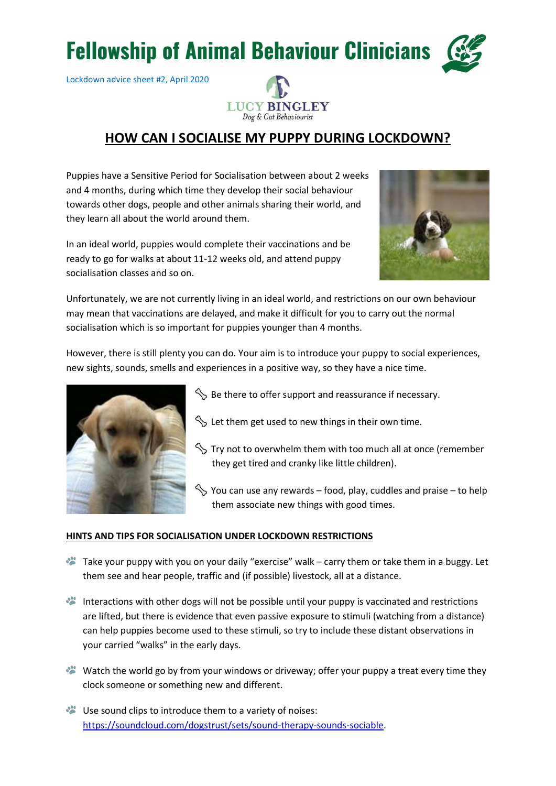## **Fellowship of Animal Behaviour Clinicians**

Lockdown advice sheet #2, April 2020



## HOW CAN I SOCIALISE MY PUPPY DURING LOCKDOWN?

Puppies have a Sensitive Period for Socialisation between about 2 weeks and 4 months, during which time they develop their social behaviour towards other dogs, people and other animals sharing their world, and they learn all about the world around them.

In an ideal world, puppies would complete their vaccinations and be ready to go for walks at about 11-12 weeks old, and attend puppy socialisation classes and so on.



Unfortunately, we are not currently living in an ideal world, and restrictions on our own behaviour may mean that vaccinations are delayed, and make it difficult for you to carry out the normal socialisation which is so important for puppies younger than 4 months.

However, there is still plenty you can do. Your aim is to introduce your puppy to social experiences, new sights, sounds, smells and experiences in a positive way, so they have a nice time.



 $\Diamond$  Be there to offer support and reassurance if necessary.

- $\Im$  Let them get used to new things in their own time.
- $\Im$  Try not to overwhelm them with too much all at once (remember they get tired and cranky like little children).
- $\Im$  You can use any rewards food, play, cuddles and praise to help them associate new things with good times.

## HINTS AND TIPS FOR SOCIALISATION UNDER LOCKDOWN RESTRICTIONS

- Take your puppy with you on your daily "exercise" walk carry them or take them in a buggy. Let them see and hear people, traffic and (if possible) livestock, all at a distance.
- Interactions with other dogs will not be possible until your puppy is vaccinated and restrictions are lifted, but there is evidence that even passive exposure to stimuli (watching from a distance) can help puppies become used to these stimuli, so try to include these distant observations in your carried "walks" in the early days.
- Watch the world go by from your windows or driveway; offer your puppy a treat every time they clock someone or something new and different.
- Use sound clips to introduce them to a variety of noises: https://soundcloud.com/dogstrust/sets/sound-therapy-sounds-sociable.